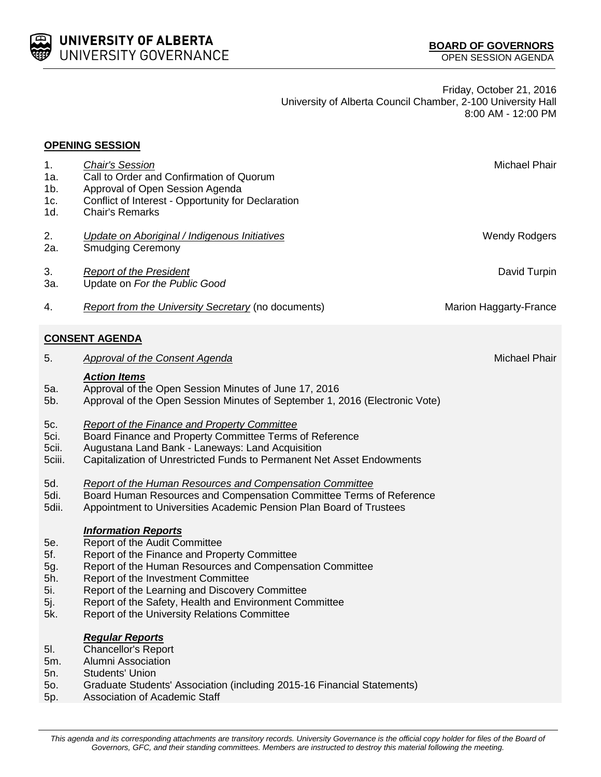

Friday, October 21, 2016 University of Alberta Council Chamber, 2-100 University Hall 8:00 AM - 12:00 PM

|                                               | <b>OPENING SESSION</b>                                                                                                                                                                                                                                                                                                                                                    |                        |
|-----------------------------------------------|---------------------------------------------------------------------------------------------------------------------------------------------------------------------------------------------------------------------------------------------------------------------------------------------------------------------------------------------------------------------------|------------------------|
| 1.<br>1a.<br>$1b$ .<br>1c.<br>1d.             | <b>Chair's Session</b><br>Call to Order and Confirmation of Quorum<br>Approval of Open Session Agenda<br>Conflict of Interest - Opportunity for Declaration<br><b>Chair's Remarks</b>                                                                                                                                                                                     | Michael Phair          |
|                                               |                                                                                                                                                                                                                                                                                                                                                                           |                        |
| 2.<br>2a.                                     | Update on Aboriginal / Indigenous Initiatives<br><b>Smudging Ceremony</b>                                                                                                                                                                                                                                                                                                 | <b>Wendy Rodgers</b>   |
| 3.<br>За.                                     | <b>Report of the President</b><br>Update on For the Public Good                                                                                                                                                                                                                                                                                                           | David Turpin           |
| 4.                                            | <b>Report from the University Secretary (no documents)</b>                                                                                                                                                                                                                                                                                                                | Marion Haggarty-France |
|                                               | <b>CONSENT AGENDA</b>                                                                                                                                                                                                                                                                                                                                                     |                        |
| 5.                                            | <b>Approval of the Consent Agenda</b>                                                                                                                                                                                                                                                                                                                                     | Michael Phair          |
| 5a.<br>5b.                                    | <b>Action Items</b><br>Approval of the Open Session Minutes of June 17, 2016<br>Approval of the Open Session Minutes of September 1, 2016 (Electronic Vote)                                                                                                                                                                                                               |                        |
| 5c.<br>5ci.<br>5cii.<br>5ciii.                | <b>Report of the Finance and Property Committee</b><br>Board Finance and Property Committee Terms of Reference<br>Augustana Land Bank - Laneways: Land Acquisition<br>Capitalization of Unrestricted Funds to Permanent Net Asset Endowments                                                                                                                              |                        |
| 5d.<br>5di.<br>5dii.                          | <b>Report of the Human Resources and Compensation Committee</b><br>Board Human Resources and Compensation Committee Terms of Reference<br>Appointment to Universities Academic Pension Plan Board of Trustees                                                                                                                                                             |                        |
| 5e.<br>5f.<br>5g.<br>5h.<br>5i.<br>5j.<br>5k. | <b>Information Reports</b><br>Report of the Audit Committee<br>Report of the Finance and Property Committee<br>Report of the Human Resources and Compensation Committee<br>Report of the Investment Committee<br>Report of the Learning and Discovery Committee<br>Report of the Safety, Health and Environment Committee<br>Report of the University Relations Committee |                        |
| 5I.<br>5m.<br>5n.<br>50.<br>5p.               | <b>Regular Reports</b><br>Chancellor's Report<br>Alumni Association<br><b>Students' Union</b><br>Graduate Students' Association (including 2015-16 Financial Statements)<br>Association of Academic Staff                                                                                                                                                                 |                        |